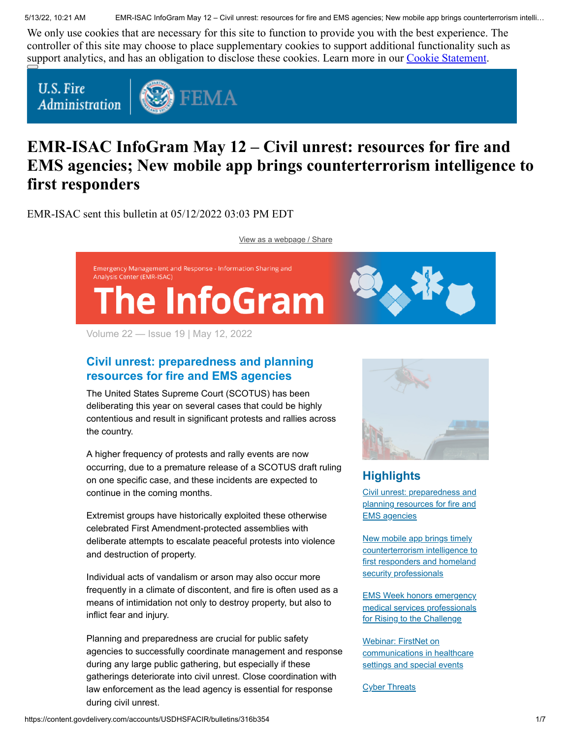5/13/22, 10:21 AM EMR-ISAC InfoGram May 12 – Civil unrest: resources for fire and EMS agencies; New mobile app brings counterterrorism intelli…

We only use cookies that are necessary for this site to function to provide you with the best experience. The controller of this site may choose to place supplementary cookies to support additional functionality such as support analytics, and has an obligation to disclose these cookies. Learn more in our [Cookie Statement.](https://subscriberhelp.granicus.com/s/article/Cookies)

**U.S. Fire Administration** 



# **EMR-ISAC InfoGram May 12 – Civil unrest: resources for fire and EMS agencies; New mobile app brings counterterrorism intelligence to first responders**

EMR-ISAC sent this bulletin at 05/12/2022 03:03 PM EDT

[View as a webpage / Share](https://content.govdelivery.com/accounts/USDHSFACIR/bulletins/316b354)



Volume 22 — Issue 19 | May 12, 2022

### <span id="page-0-0"></span>**Civil unrest: preparedness and planning resources for fire and EMS agencies**

The United States Supreme Court (SCOTUS) has been deliberating this year on several cases that could be highly contentious and result in significant protests and rallies across the country.

A higher frequency of protests and rally events are now occurring, due to a premature release of a SCOTUS draft ruling on one specific case, and these incidents are expected to continue in the coming months.

Extremist groups have historically exploited these otherwise celebrated First Amendment-protected assemblies with deliberate attempts to escalate peaceful protests into violence and destruction of property.

Individual acts of vandalism or arson may also occur more frequently in a climate of discontent, and fire is often used as a means of intimidation not only to destroy property, but also to inflict fear and injury.

Planning and preparedness are crucial for public safety agencies to successfully coordinate management and response during any large public gathering, but especially if these gatherings deteriorate into civil unrest. Close coordination with law enforcement as the lead agency is essential for response during civil unrest.



## **Highlights**

[Civil unrest: preparedness and](#page-0-0) planning resources for fire and EMS agencies

New mobile app brings timely [counterterrorism intelligence to](#page-2-0) first responders and homeland security professionals

EMS Week honors emergency [medical services professionals](#page-2-1) for Rising to the Challenge

Webinar: FirstNet on [communications in healthcare](#page-3-0) settings and special events

**[Cyber Threats](#page-4-0)**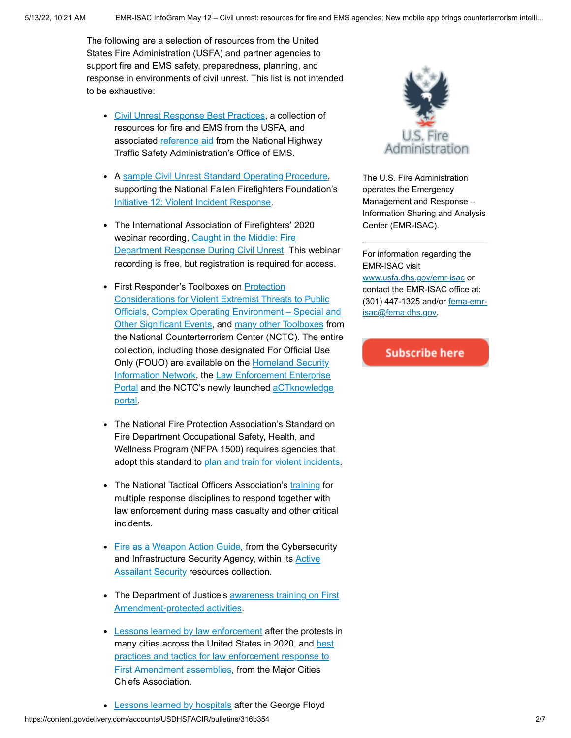The following are a selection of resources from the United States Fire Administration (USFA) and partner agencies to support fire and EMS safety, preparedness, planning, and response in environments of civil unrest. This list is not intended to be exhaustive:

- [Civil Unrest Response Best Practices](https://www.usfa.fema.gov/operations/civil_unrest/), a collection of resources for fire and EMS from the USFA, and associated [reference aid](https://www.ems.gov/pdf/Fire_and_Emergency_Medical_Services_Response_to_Civil_Unrest.pdf) from the National Highway Traffic Safety Administration's Office of EMS.
- A [sample Civil Unrest Standard Operating Procedure,](http://www.everyonegoeshome.com/wp-content/uploads/sites/2/2020/06/sample-sop-civil-unrest.pdf) supporting the National Fallen Firefighters Foundation's [Initiative 12: Violent Incident Response.](https://www.everyonegoeshome.com/16-initiatives/12-violent-incident-response/)
- The International Association of Firefighters' 2020 [webinar recording, Caught in the Middle: Fire](https://info.lexipol.com/webinar-fire-department-response-during-civil-unrest) Department Response During Civil Unrest. This webinar recording is free, but registration is required for access.
- First Responder's Toolboxes on Protection Considerations for Violent Extremist Threats to Public [Officials, Complex Operating Environment – Special a](https://www.dni.gov/files/NCTC/documents/jcat/firstresponderstoolbox/126s_-_Protection_Considerations_for_Violent_Extremist_Threats_to_Public_Officials.pdf)nd [Other Significant Events, and many other Toolboxes from](https://www.dni.gov/files/NCTC/documents/jcat/firstresponderstoolbox/First_Responders_Toolbox_-_Special_and_Significant_Events_with_Feedback.pdf) the National Counterterrorism Center (NCTC). The entire collection, including those designated For Official Use [Only \(FOUO\) are available on the Homeland Security](https://www.dhs.gov/what-hsin) [Information Network, the Law Enforcement Enterprise](https://www.fbi.gov/services/cjis/leep) [Portal and the NCTC's newly launched aCTknowledge](https://www.actknowledge.dni.gov/aCTknowledge/) portal.
- The National Fire Protection Association's Standard on Fire Department Occupational Safety, Health, and Wellness Program (NFPA 1500) requires agencies that adopt this standard to [plan and train for violent incidents](https://www.nfpa.org/News-and-Research/Resources/Emergency-Responders/High-risk-hazards/Events-that-involve-violence).
- The National Tactical Officers Association's [training](https://www.ntoa.org/training/) for multiple response disciplines to respond together with law enforcement during mass casualty and other critical incidents.
- [Fire as a Weapon Action Guide](https://www.cisa.gov/sites/default/files/publications/Fire%20as%20a%20Weapon%20Action%20Guide_Final%20508%20%2804.12.21%29v.2_1.pdf), from the Cybersecurity and Infrastructure Security Agency, within its **Active Assailant Security resources collection.**
- [The Department of Justice's awareness training on First](https://ncirc.bja.ojp.gov/training/first-amendment-online-training) Amendment-protected activities.
- [Lessons learned by law enforcement](https://majorcitieschiefs.com/wp-content/uploads/2021/01/MCCA-Report-on-the-2020-Protest-and-Civil-Unrest.pdf) after the protests in [many cities across the United States in 2020, and best](https://majorcitieschiefs.com/wp-content/uploads/2021/05/MCCA-First-Amendment-Assembly-Working-Group-Final-Report.pdf) practices and tactics for law enforcement response to First Amendment assemblies, from the Major Cities Chiefs Association.



The U.S. Fire Administration operates the Emergency Management and Response – Information Sharing and Analysis Center (EMR-ISAC).

For information regarding the EMR-ISAC visit [www.usfa.dhs.gov/emr-isac](https://www.usfa.fema.gov/operations/ops_cip.html) or contact the EMR-ISAC office at: [\(301\) 447-1325 and/or fema-emr](mailto:fema-emr-isac@fema.dhs.gov)isac@fema.dhs.gov.

**Subscribe here**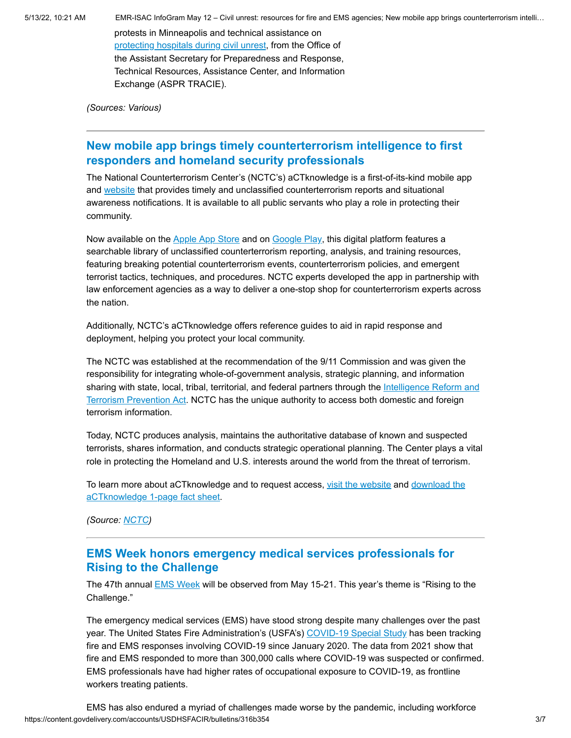5/13/22, 10:21 AM EMR-ISAC InfoGram May 12 – Civil unrest: resources for fire and EMS agencies; New mobile app brings counterterrorism intelli…

protests in Minneapolis and technical assistance on [protecting hospitals during civil unrest,](https://files.asprtracie.hhs.gov/documents/aspr-tracie-ta-hospitals-and-civil-unreset-resources--6-1-2020.pdf) from the Office of the Assistant Secretary for Preparedness and Response, Technical Resources, Assistance Center, and Information Exchange (ASPR TRACIE).

*(Sources: Various)*

### <span id="page-2-0"></span>**New mobile app brings timely counterterrorism intelligence to first responders and homeland security professionals**

The National Counterterrorism Center's (NCTC's) aCTknowledge is a first-of-its-kind mobile app and [website](https://www.actknowledge.dni.gov/aCTknowledge/) that provides timely and unclassified counterterrorism reports and situational awareness notifications. It is available to all public servants who play a role in protecting their community.

Now available on the [Apple App Store](https://apps.apple.com/us/app/actknowledge/id1582733860?platform=iphone) and on [Google Play,](https://play.google.com/store/apps/details?id=gov.dni.aCTknowledge) this digital platform features a searchable library of unclassified counterterrorism reporting, analysis, and training resources, featuring breaking potential counterterrorism events, counterterrorism policies, and emergent terrorist tactics, techniques, and procedures. NCTC experts developed the app in partnership with law enforcement agencies as a way to deliver a one-stop shop for counterterrorism experts across the nation.

Additionally, NCTC's aCTknowledge offers reference guides to aid in rapid response and deployment, helping you protect your local community.

The NCTC was established at the recommendation of the 9/11 Commission and was given the responsibility for integrating whole-of-government analysis, strategic planning, and information [sharing with state, local, tribal, territorial, and federal partners through the Intelligence Reform and](https://www.dni.gov/index.php/ic-legal-reference-book/intelligence-reform-and-terrorism-prevention-act-of-2004) Terrorism Prevention Act. NCTC has the unique authority to access both domestic and foreign terrorism information.

Today, NCTC produces analysis, maintains the authoritative database of known and suspected terrorists, shares information, and conducts strategic operational planning. The Center plays a vital role in protecting the Homeland and U.S. interests around the world from the threat of terrorism.

[To learn more about aCTknowledge and to request access, v](https://content.govdelivery.com/attachments/USDHSFACIR/2022/05/06/file_attachments/2152415/aCTknowledge%20Slick%20Sheet.pdf)[isit the website](https://www.actknowledge.dni.gov/aCTknowledge/) [and download the](https://content.govdelivery.com/attachments/USDHSFACIR/2022/05/06/file_attachments/2152415/aCTknowledge%20Slick%20Sheet.pdf) aCTknowledge 1-page fact sheet.

*(Source: [NCTC](https://www.dni.gov/index.php/nctc-home))*

#### <span id="page-2-1"></span>**EMS Week honors emergency medical services professionals for Rising to the Challenge**

The 47th annual **[EMS Week](https://emsweek.org/) will be observed from May 15-21**. This year's theme is "Rising to the Challenge."

The emergency medical services (EMS) have stood strong despite many challenges over the past year. The United States Fire Administration's (USFA's) [COVID-19 Special Study](https://www.usfa.fema.gov/nfirs/COVID-19-dashboard.html) has been tracking fire and EMS responses involving COVID-19 since January 2020. The data from 2021 show that fire and EMS responded to more than 300,000 calls where COVID-19 was suspected or confirmed. EMS professionals have had higher rates of occupational exposure to COVID-19, as frontline workers treating patients.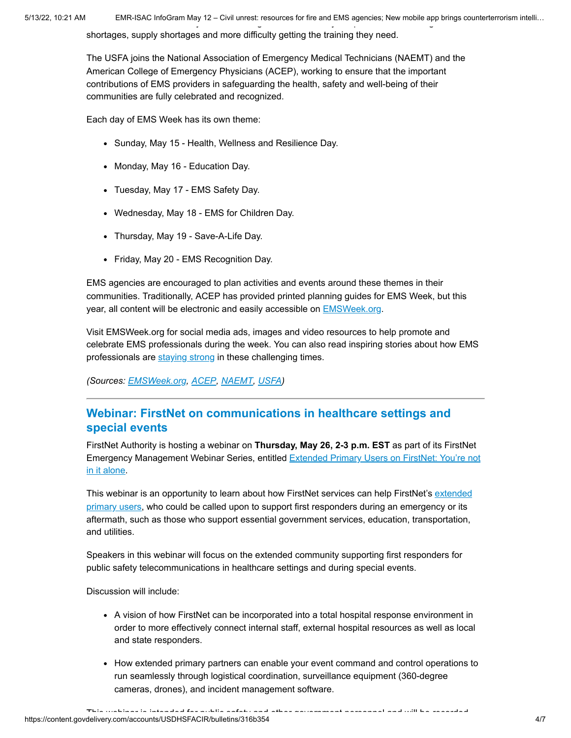5/13/22, 10:21 AM EMR-ISAC InfoGram May 12 – Civil unrest: resources for fire and EMS agencies; New mobile app brings counterterrorism intelli… y g y p g

shortages, supply shortages and more difficulty getting the training they need.

The USFA joins the National Association of Emergency Medical Technicians (NAEMT) and the American College of Emergency Physicians (ACEP), working to ensure that the important contributions of EMS providers in safeguarding the health, safety and well-being of their communities are fully celebrated and recognized.

Each day of EMS Week has its own theme:

- Sunday, May 15 Health, Wellness and Resilience Day.
- Monday, May 16 Education Day.
- Tuesday, May 17 EMS Safety Day.
- Wednesday, May 18 EMS for Children Day.
- Thursday, May 19 Save-A-Life Day.
- Friday, May 20 EMS Recognition Day.

EMS agencies are encouraged to plan activities and events around these themes in their communities. Traditionally, ACEP has provided printed planning guides for EMS Week, but this year, all content will be electronic and easily accessible on [EMSWeek.org](https://emsweek.org/).

Visit EMSWeek.org for social media ads, images and video resources to help promote and celebrate EMS professionals during the week. You can also read inspiring stories about how EMS professionals are [staying strong](https://emsweek.org/stay-strong/) in these challenging times.

*(Sources: [EMSWeek.org,](https://emsweek.org/) [ACEP](https://www.acep.org/administration/ems-resources/emsweek/), [NAEMT](https://www.naemt.org/initiatives/ems-week), [USFA](https://www.usfa.fema.gov/ems/ems-week.html))*

#### <span id="page-3-0"></span>**Webinar: FirstNet on communications in healthcare settings and special events**

FirstNet Authority is hosting a webinar on **Thursday, May 26, 2-3 p.m. EST** as part of its FirstNet [Emergency Management Webinar Series, entitled Extended Primary Users on FirstNet: You're not](https://mailchi.mp/firstnet/em_webinar-16062476) in it alone.

[This webinar is an opportunity to learn about how FirstNet services can help FirstNet's extended](https://firstnet.gov/public-safety/firstnet-for/other-users) primary users, who could be called upon to support first responders during an emergency or its aftermath, such as those who support essential government services, education, transportation, and utilities.

Speakers in this webinar will focus on the extended community supporting first responders for public safety telecommunications in healthcare settings and during special events.

Discussion will include:

- A vision of how FirstNet can be incorporated into a total hospital response environment in order to more effectively connect internal staff, external hospital resources as well as local and state responders.
- How extended primary partners can enable your event command and control operations to run seamlessly through logistical coordination, surveillance equipment (360-degree cameras, drones), and incident management software.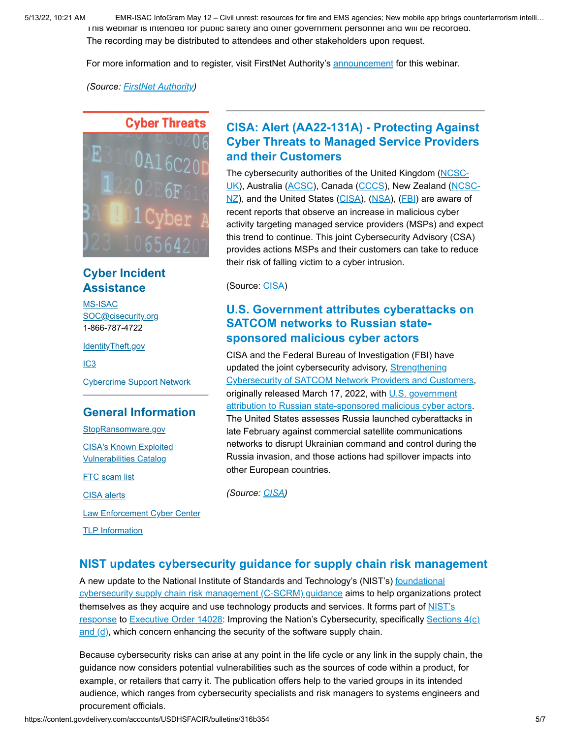5/13/22, 10:21 AM EMR-ISAC InfoGram May 12 – Civil unrest: resources for fire and EMS agencies; New mobile app brings counterterrorism intelli… This webinar is intended for public safety and other government personnel and will be recorded. The recording may be distributed to attendees and other stakeholders upon request.

For more information and to register, visit FirstNet Authority's [announcement](https://mailchi.mp/firstnet/em_webinar-16062476) for this webinar.

*(Source: [FirstNet Authority](https://mailchi.mp/firstnet/em_webinar-16062476))*

#### **Cyber Threats**

E  $02E6F6$ 

#### **Cyber Incident Assistance**

[MS-ISAC](https://www.cisecurity.org/ms-isac/) [SOC@cisecurity.org](mailto:SOC@cisecurity.org) 1-866-787-4722

[IdentityTheft.gov](https://identitytheft.gov/)

[IC3](https://www.ic3.gov/default.aspx)

[Cybercrime Support Network](https://fraudsupport.org/)

#### **General Information**

[StopRansomware.gov](https://www.cisa.gov/stopransomware) [CISA's Known Exploited](https://www.cisa.gov/known-exploited-vulnerabilities-catalog)

Vulnerabilities Catalog

**FTC** scam list

[CISA alerts](https://us-cert.cisa.gov/ncas)

[Law Enforcement Cyber Center](https://www.iacpcybercenter.org/)

[TLP Information](https://us-cert.cisa.gov/tlp)

### <span id="page-4-0"></span>**CISA: Alert (AA22-131A) - Protecting Against Cyber Threats to Managed Service Providers and their Customers**

The cybersecurity authorities of the United Kingdom (NCSC-[UK\), Australia \(ACSC\), Canada \(CCCS\), New Zealand \(NC](https://www.ncsc.gov.uk/)[SC-](http://www.ncsc.govt.nz/)NZ), and the United States [\(CISA\)](https://www.cisa.gov/), ([NSA\)](https://www.nsa.gov/Cybersecurity/), ([FBI\)](https://www.fbi.gov/investigate/cyber) are aware of recent reports that observe an increase in malicious cyber activity targeting managed service providers (MSPs) and expect this trend to continue. This joint Cybersecurity Advisory (CSA) provides actions MSPs and their customers can take to reduce their risk of falling victim to a cyber intrusion.

(Source: [CISA](https://www.cisa.gov/uscert/ncas/alerts/aa22-131a))

#### **U.S. Government attributes cyberattacks on SATCOM networks to Russian statesponsored malicious cyber actors**

CISA and the Federal Bureau of Investigation (FBI) have updated the joint cybersecurity advisory, Strengthening [Cybersecurity of SATCOM Network Providers and Customers](https://www.cisa.gov/uscert/ncas/alerts/aa22-076a), originally released March 17, 2022, with U.S. government [attribution to Russian state-sponsored malicious cyber actors](https://www.state.gov/attribution-of-russias-malicious-cyber-activity-against-ukraine/). The United States assesses Russia launched cyberattacks in late February against commercial satellite communications networks to disrupt Ukrainian command and control during the Russia invasion, and those actions had spillover impacts into other European countries.

*(Source: [CISA](https://www.cisa.gov/uscert/ncas/current-activity/2022/05/10/us-government-attributes-cyberattacks-satcom-networks-russian))*

#### **NIST updates cybersecurity guidance for supply chain risk management**

[A new update to the National Institute of Standards and Technology's \(NIST's\) foundational](https://doi.org/10.6028/NIST.SP.800-161r1) cybersecurity supply chain risk management (C-SCRM) guidance aims to help organizations protect [themselves as they acquire and use technology products and services. It forms part of NIST's](https://www.nist.gov/itl/executive-order-14028-improving-nations-cybersecurity) [response to E](https://www.nist.gov/itl/executive-order-14028-improving-nations-cybersecurity/software-security-supply-chains)[xecutive Order 1402](https://www.federalregister.gov/documents/2021/05/17/2021-10460/improving-the-nations-cybersecurity)[8: Improving the Nation's Cybersecurity, specifically Sections 4\(c\)](https://www.nist.gov/itl/executive-order-14028-improving-nations-cybersecurity/software-security-supply-chains) and  $(d)$ , which concern enhancing the security of the software supply chain.

Because cybersecurity risks can arise at any point in the life cycle or any link in the supply chain, the guidance now considers potential vulnerabilities such as the sources of code within a product, for example, or retailers that carry it. The publication offers help to the varied groups in its intended audience, which ranges from cybersecurity specialists and risk managers to systems engineers and procurement officials.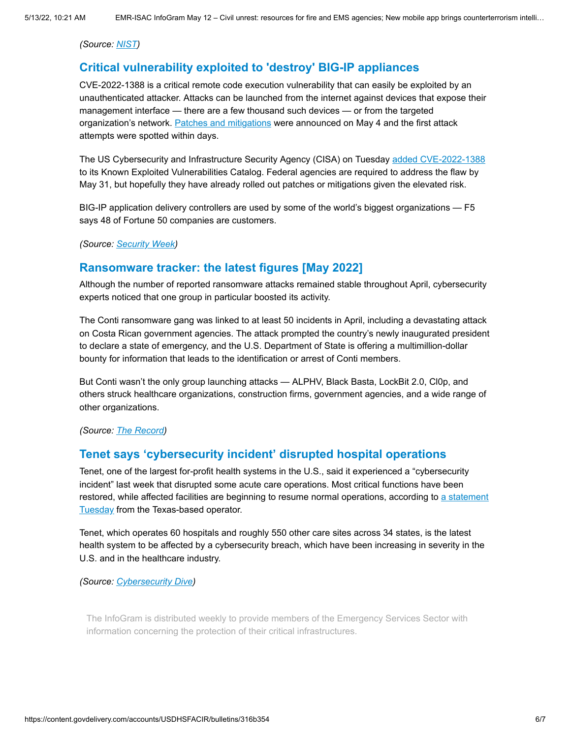*(Source: [NIST](https://www.nist.gov/news-events/news/2022/05/nist-updates-cybersecurity-guidance-supply-chain-risk-management))*

#### **Critical vulnerability exploited to 'destroy' BIG-IP appliances**

CVE-2022-1388 is a critical remote code execution vulnerability that can easily be exploited by an unauthenticated attacker. Attacks can be launched from the internet against devices that expose their management interface — there are a few thousand such devices — or from the targeted organization's network. [Patches and mitigations](https://support.f5.com/csp/article/K23605346) were announced on May 4 and the first attack attempts were spotted within days.

The US Cybersecurity and Infrastructure Security Agency (CISA) on Tuesday [added CVE-2022-1388](https://www.cisa.gov/known-exploited-vulnerabilities-catalog) to its Known Exploited Vulnerabilities Catalog. Federal agencies are required to address the flaw by May 31, but hopefully they have already rolled out patches or mitigations given the elevated risk.

BIG-IP application delivery controllers are used by some of the world's biggest organizations — F5 says 48 of Fortune 50 companies are customers.

*(Source: [Security Week](https://www.securityweek.com/critical-vulnerability-exploited-destroy-big-ip-appliances))*

#### **Ransomware tracker: the latest figures [May 2022]**

Although the number of reported ransomware attacks remained stable throughout April, cybersecurity experts noticed that one group in particular boosted its activity.

The Conti ransomware gang was linked to at least 50 incidents in April, including a devastating attack on Costa Rican government agencies. The attack prompted the country's newly inaugurated president to declare a state of emergency, and the U.S. Department of State is offering a multimillion-dollar bounty for information that leads to the identification or arrest of Conti members.

But Conti wasn't the only group launching attacks — ALPHV, Black Basta, LockBit 2.0, Cl0p, and others struck healthcare organizations, construction firms, government agencies, and a wide range of other organizations.

*(Source: [The Record\)](https://therecord.media/ransomware-tracker-the-latest-figures/)*

#### **Tenet says 'cybersecurity incident' disrupted hospital operations**

Tenet, one of the largest for-profit health systems in the U.S., said it experienced a "cybersecurity incident" last week that disrupted some acute care operations. Most critical functions have been [restored, while affected facilities are beginning to resume normal operations, according to a statement](https://investor.tenethealth.com/press-releases/press-release-details/2022/Tenet-Reports-Cybersecurity-Incident/default.aspx) **Tuesday from the Texas-based operator.** 

Tenet, which operates 60 hospitals and roughly 550 other care sites across 34 states, is the latest health system to be affected by a cybersecurity breach, which have been increasing in severity in the U.S. and in the healthcare industry.

*(Source: [Cybersecurity Dive\)](https://www.cybersecuritydive.com/news/tenet-cyberattack-hospital-operations/622728/)*

The InfoGram is distributed weekly to provide members of the Emergency Services Sector with information concerning the protection of their critical infrastructures.